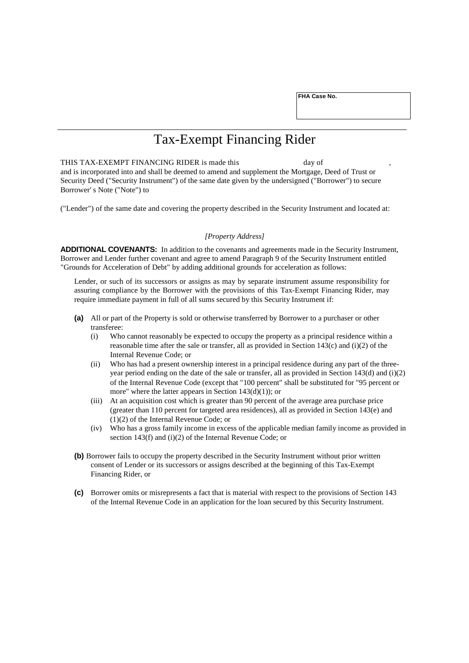**FHA Case No.**

## Tax-Exempt Financing Rider

THIS TAX-EXEMPT FINANCING RIDER is made this day of and is incorporated into and shall be deemed to amend and supplement the Mortgage, Deed of Trust or Security Deed ("Security Instrument") of the same date given by the undersigned ("Borrower") to secure Borrower' s Note ("Note") to

("Lender") of the same date and covering the property described in the Security Instrument and located at:

## *[Property Address]*

**ADDITIONAL COVENANTS:** In addition to the covenants and agreements made in the Security Instrument, Borrower and Lender further covenant and agree to amend Paragraph 9 of the Security Instrument entitled "Grounds for Acceleration of Debt" by adding additional grounds for acceleration as follows:

Lender, or such of its successors or assigns as may by separate instrument assume responsibility for assuring compliance by the Borrower with the provisions of this Tax-Exempt Financing Rider, may require immediate payment in full of all sums secured by this Security Instrument if:

- **(a)** All or part of the Property is sold or otherwise transferred by Borrower to a purchaser or other transferee:
	- (i) Who cannot reasonably be expected to occupy the property as a principal residence within a reasonable time after the sale or transfer, all as provided in Section 143(c) and (i)(2) of the Internal Revenue Code; or
	- (ii) Who has had a present ownership interest in a principal residence during any part of the threeyear period ending on the date of the sale or transfer, all as provided in Section 143(d) and  $(i)(2)$ of the Internal Revenue Code (except that "100 percent" shall be substituted for "95 percent or more" where the latter appears in Section  $143(d)(1)$ ; or
	- (iii) At an acquisition cost which is greater than 90 percent of the average area purchase price (greater than 110 percent for targeted area residences), all as provided in Section 143(e) and (1)(2) of the Internal Revenue Code; or
	- (iv) Who has a gross family income in excess of the applicable median family income as provided in section 143(f) and (i)(2) of the Internal Revenue Code; or
- **(b)** Borrower fails to occupy the property described in the Security Instrument without prior written consent of Lender or its successors or assigns described at the beginning of this Tax-Exempt Financing Rider, or
- **(c)** Borrower omits or misrepresents a fact that is material with respect to the provisions of Section 143 of the Internal Revenue Code in an application for the loan secured by this Security Instrument.